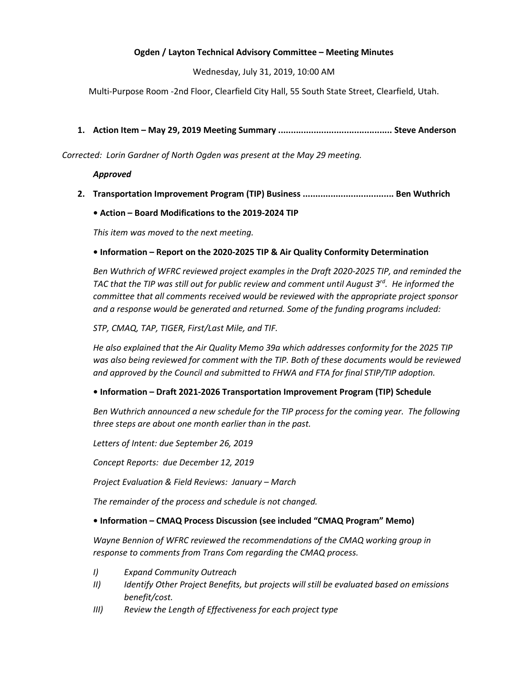### Ogden / Layton Technical Advisory Committee – Meeting Minutes

Wednesday, July 31, 2019, 10:00 AM

Multi-Purpose Room -2nd Floor, Clearfield City Hall, 55 South State Street, Clearfield, Utah.

### 1. Action Item – May 29, 2019 Meeting Summary ............................................. Steve Anderson

Corrected: Lorin Gardner of North Ogden was present at the May 29 meeting.

#### Approved

2. Transportation Improvement Program (TIP) Business .................................... Ben Wuthrich

### • Action – Board Modifications to the 2019-2024 TIP

This item was moved to the next meeting.

### • Information – Report on the 2020-2025 TIP & Air Quality Conformity Determination

Ben Wuthrich of WFRC reviewed project examples in the Draft 2020-2025 TIP, and reminded the TAC that the TIP was still out for public review and comment until August  $3^{rd}$ . He informed the committee that all comments received would be reviewed with the appropriate project sponsor and a response would be generated and returned. Some of the funding programs included:

STP, CMAQ, TAP, TIGER, First/Last Mile, and TIF.

He also explained that the Air Quality Memo 39a which addresses conformity for the 2025 TIP was also being reviewed for comment with the TIP. Both of these documents would be reviewed and approved by the Council and submitted to FHWA and FTA for final STIP/TIP adoption.

### • Information – Draft 2021-2026 Transportation Improvement Program (TIP) Schedule

Ben Wuthrich announced a new schedule for the TIP process for the coming year. The following three steps are about one month earlier than in the past.

Letters of Intent: due September 26, 2019

Concept Reports: due December 12, 2019

Project Evaluation & Field Reviews: January – March

The remainder of the process and schedule is not changed.

### • Information – CMAQ Process Discussion (see included "CMAQ Program" Memo)

Wayne Bennion of WFRC reviewed the recommendations of the CMAQ working group in response to comments from Trans Com regarding the CMAQ process.

- I) Expand Community Outreach
- II) Identify Other Project Benefits, but projects will still be evaluated based on emissions benefit/cost.
- III) Review the Length of Effectiveness for each project type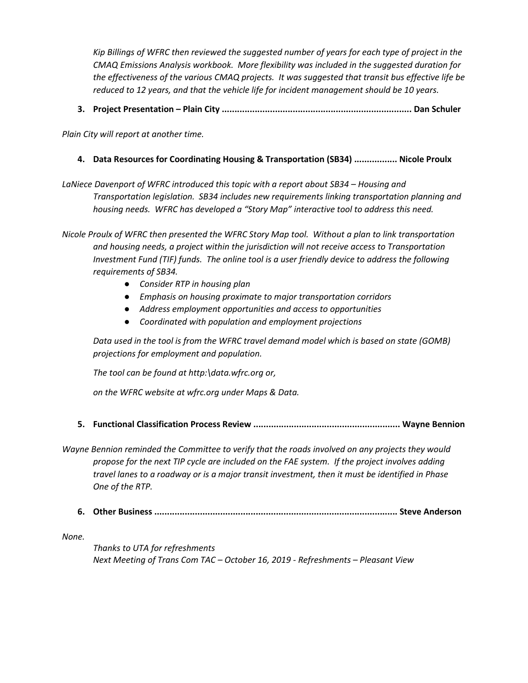Kip Billings of WFRC then reviewed the suggested number of years for each type of project in the CMAQ Emissions Analysis workbook. More flexibility was included in the suggested duration for the effectiveness of the various CMAQ projects. It was suggested that transit bus effective life be reduced to 12 years, and that the vehicle life for incident management should be 10 years.

3. Project Presentation – Plain City ........................................................................... Dan Schuler

Plain City will report at another time.

4. Data Resources for Coordinating Housing & Transportation (SB34) ................. Nicole Proulx

LaNiece Davenport of WFRC introduced this topic with a report about SB34 – Housing and Transportation legislation. SB34 includes new requirements linking transportation planning and housing needs. WFRC has developed a "Story Map" interactive tool to address this need.

Nicole Proulx of WFRC then presented the WFRC Story Map tool. Without a plan to link transportation and housing needs, a project within the jurisdiction will not receive access to Transportation Investment Fund (TIF) funds. The online tool is a user friendly device to address the following requirements of SB34.

- Consider RTP in housing plan
- Emphasis on housing proximate to major transportation corridors
- Address employment opportunities and access to opportunities
- Coordinated with population and employment projections

Data used in the tool is from the WFRC travel demand model which is based on state (GOMB) projections for employment and population.

The tool can be found at http:\data.wfrc.org or,

on the WFRC website at wfrc.org under Maps & Data.

5. Functional Classification Process Review .......................................................... Wayne Bennion

Wayne Bennion reminded the Committee to verify that the roads involved on any projects they would propose for the next TIP cycle are included on the FAE system. If the project involves adding travel lanes to a roadway or is a major transit investment, then it must be identified in Phase One of the RTP.

6. Other Business ................................................................................................ Steve Anderson

None.

Thanks to UTA for refreshments Next Meeting of Trans Com TAC – October 16, 2019 - Refreshments – Pleasant View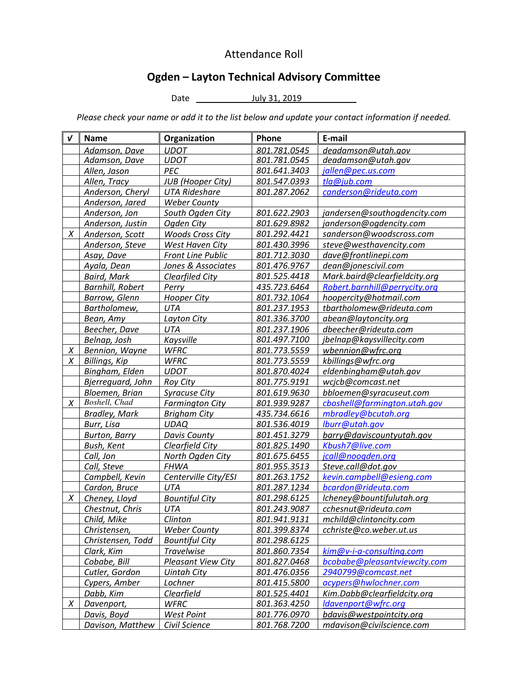# Attendance Roll

# Ogden – Layton Technical Advisory Committee

Date July 31, 2019 \_\_

Please check your name or add it to the list below and update your contact information if needed.

| ν | <b>Name</b>             | Organization              | Phone        | E-mail                        |
|---|-------------------------|---------------------------|--------------|-------------------------------|
|   | Adamson, Dave           | <b>UDOT</b>               | 801.781.0545 | deadamson@utah.gov            |
|   | Adamson, Dave           | <b>UDOT</b>               | 801.781.0545 | deadamson@utah.gov            |
|   | Allen, Jason            | PEC                       | 801.641.3403 | jallen@pec.us.com             |
|   | Allen, Tracy            | <b>JUB</b> (Hooper City)  | 801.547.0393 | tla@jub.com                   |
|   | Anderson, Cheryl        | <b>UTA Rideshare</b>      | 801.287.2062 | canderson@rideuta.com         |
|   | Anderson, Jared         | <b>Weber County</b>       |              |                               |
|   | Anderson, Jon           | South Ogden City          | 801.622.2903 | jandersen@southogdencity.com  |
|   | Anderson, Justin        | Ogden City                | 801.629.8982 | janderson@ogdencity.com       |
| X | Anderson, Scott         | <b>Woods Cross City</b>   | 801.292.4421 | sanderson@woodscross.com      |
|   | Anderson, Steve         | West Haven City           | 801.430.3996 | steve@westhavencity.com       |
|   | Asay, Dave              | <b>Front Line Public</b>  | 801.712.3030 | dave@frontlinepi.com          |
|   | Ayala, Dean             | Jones & Associates        | 801.476.9767 | dean@jonescivil.com           |
|   | <b>Baird, Mark</b>      | <b>Clearfiled City</b>    | 801.525.4418 | Mark.baird@clearfieldcity.org |
|   | <b>Barnhill, Robert</b> | Perry                     | 435.723.6464 | Robert.barnhill@perrycity.org |
|   | <b>Barrow, Glenn</b>    | <b>Hooper City</b>        | 801.732.1064 | hoopercity@hotmail.com        |
|   | Bartholomew,            | <b>UTA</b>                | 801.237.1953 | tbartholomew@rideuta.com      |
|   | Bean, Amy               | Layton City               | 801.336.3700 | abean@laytoncity.org          |
|   | Beecher, Dave           | UTA                       | 801.237.1906 | dbeecher@rideuta.com          |
|   | Belnap, Josh            | Kaysville                 | 801.497.7100 | jbelnap@kaysvillecity.com     |
| X | Bennion, Wayne          | <b>WFRC</b>               | 801.773.5559 | wbennion@wfrc.org             |
| X | Billings, Kip           | <b>WFRC</b>               | 801.773.5559 | kbillings@wfrc.org            |
|   | Bingham, Elden          | <b>UDOT</b>               | 801.870.4024 | eldenbingham@utah.gov         |
|   | Bjerrequard, John       | <b>Rov City</b>           | 801.775.9191 | wcjcb@comcast.net             |
|   | Bloemen, Brian          | <b>Syracuse City</b>      | 801.619.9630 | bbloemen@syracuseut.com       |
| X | Boshell, Chad           | <b>Farmington City</b>    | 801.939.9287 | cboshell@farmington.utah.gov  |
|   | <b>Bradley, Mark</b>    | <b>Brigham City</b>       | 435.734.6616 | mbradley@bcutah.org           |
|   | Burr, Lisa              | <b>UDAQ</b>               | 801.536.4019 | lburr@utah.gov                |
|   | <b>Burton, Barry</b>    | Davis County              | 801.451.3279 | barry@daviscountyutah.gov     |
|   | Bush, Kent              | Clearfield City           | 801.825.1490 | Kbush7@live.com               |
|   | Call, Jon               | North Ogden City          | 801.675.6455 | jcall@noogden.org             |
|   | Call, Steve             | <b>FHWA</b>               | 801.955.3513 | Steve.call@dot.gov            |
|   | Campbell, Kevin         | Centerville City/ESI      | 801.263.1752 | kevin.campbell@esieng.com     |
|   | Cardon, Bruce           | <b>UTA</b>                | 801.287.1234 | bcardon@rideuta.com           |
| Χ | Cheney, Lloyd           | <b>Bountiful City</b>     | 801.298.6125 | lcheney@bountifulutah.org     |
|   | Chestnut, Chris         | UTA                       | 801.243.9087 | cchesnut@rideuta.com          |
|   | Child, Mike             | Clinton                   | 801.941.9131 | mchild@clintoncity.com        |
|   | Christensen,            | <b>Weber County</b>       | 801.399.8374 | cchriste@co.weber.ut.us       |
|   | Christensen, Todd       | <b>Bountiful City</b>     | 801.298.6125 |                               |
|   | Clark, Kim              | <b>Travelwise</b>         | 801.860.7354 | kim@v-i-a-consulting.com      |
|   | Cobabe, Bill            | <b>Pleasant View City</b> | 801.827.0468 | bcobabe@pleasantviewcity.com  |
|   | Cutler, Gordon          | <b>Uintah City</b>        | 801.476.0356 | 2940799@comcast.net           |
|   | Cypers, Amber           | Lochner                   | 801.415.5800 | acypers@hwlochner.com         |
|   | Dabb, Kim               | Clearfield                | 801.525.4401 | Kim.Dabb@clearfieldcity.org   |
| X | Davenport,              | <b>WFRC</b>               | 801.363.4250 | ldavenport@wfrc.org           |
|   | Davis, Boyd             | West Point                | 801.776.0970 | bdavis@westpointcity.org      |
|   | Davison, Matthew        | Civil Science             | 801.768.7200 | mdavison@civilscience.com     |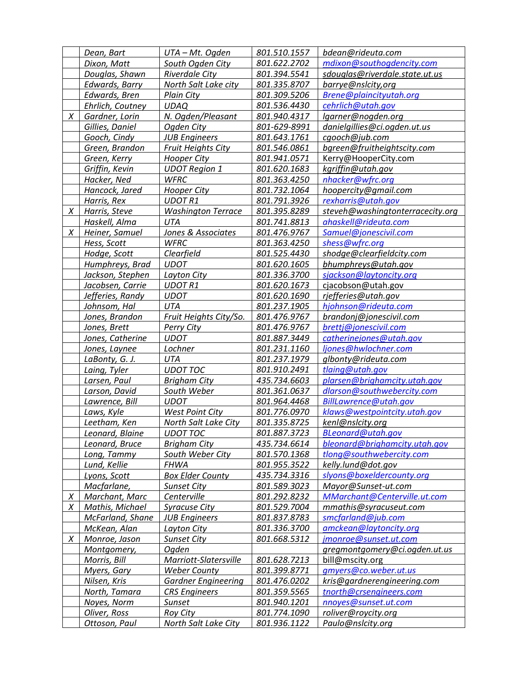|   | Dean, Bart       | UTA - Mt. Ogden            | 801.510.1557 | bdean@rideuta.com                |
|---|------------------|----------------------------|--------------|----------------------------------|
|   | Dixon, Matt      | South Ogden City           | 801.622.2702 | mdixon@southogdencity.com        |
|   | Douglas, Shawn   | <b>Riverdale City</b>      | 801.394.5541 | sdouglas@riverdale.state.ut.us   |
|   | Edwards, Barry   | North Salt Lake city       | 801.335.8707 | barrye@nslcity,org               |
|   | Edwards, Bren    | Plain City                 | 801.309.5206 | Brene@plaincityutah.org          |
|   | Ehrlich, Coutney | <b>UDAQ</b>                | 801.536.4430 | cehrlich@utah.gov                |
| X | Gardner, Lorin   | N. Ogden/Pleasant          | 801.940.4317 | lgarner@nogden.org               |
|   | Gillies, Daniel  | Ogden City                 | 801-629-8991 | danielgillies@ci.ogden.ut.us     |
|   | Gooch, Cindy     | <b>JUB Engineers</b>       | 801.643.1761 | cgooch@jub.com                   |
|   | Green, Brandon   | <b>Fruit Heights City</b>  | 801.546.0861 | bgreen@fruitheightscity.com      |
|   | Green, Kerry     | <b>Hooper City</b>         | 801.941.0571 | Kerry@HooperCity.com             |
|   | Griffin, Kevin   | <b>UDOT Region 1</b>       | 801.620.1683 | kgriffin@utah.gov                |
|   | Hacker, Ned      | <b>WFRC</b>                | 801.363.4250 | nhacker@wfrc.org                 |
|   | Hancock, Jared   | <b>Hooper City</b>         | 801.732.1064 | hoopercity@gmail.com             |
|   | Harris, Rex      | <b>UDOT R1</b>             | 801.791.3926 | rexharris@utah.gov               |
| X | Harris, Steve    | <b>Washington Terrace</b>  | 801.395.8289 | steveh@washingtonterracecity.org |
|   | Haskell, Alma    | <b>UTA</b>                 | 801.741.8813 | ahaskell@rideuta.com             |
| X | Heiner, Samuel   | Jones & Associates         | 801.476.9767 | Samuel@jonescivil.com            |
|   | Hess, Scott      | <b>WFRC</b>                | 801.363.4250 | shess@wfrc.org                   |
|   | Hodge, Scott     | Clearfield                 | 801.525.4430 | shodge@clearfieldcity.com        |
|   | Humphreys, Brad  | <b>UDOT</b>                | 801.620.1605 | bhumphreys@utah.gov              |
|   | Jackson, Stephen | Layton City                | 801.336.3700 | sjackson@laytoncity.org          |
|   | Jacobsen, Carrie | <b>UDOT R1</b>             | 801.620.1673 | cjacobson@utah.gov               |
|   | Jefferies, Randy | <b>UDOT</b>                | 801.620.1690 | rjefferies@utah.gov              |
|   | Johnsom, Hal     | <b>UTA</b>                 | 801.237.1905 | hjohnson@rideuta.com             |
|   | Jones, Brandon   | Fruit Heights City/So.     | 801.476.9767 | brandonj@jonescivil.com          |
|   | Jones, Brett     | Perry City                 | 801.476.9767 | brettj@jonescivil.com            |
|   | Jones, Catherine | <b>UDOT</b>                | 801.887.3449 | catherinejones@utah.gov          |
|   | Jones, Laynee    | Lochner                    | 801.231.1160 | ljones@hwlochner.com             |
|   | LaBonty, G. J.   | UTA                        | 801.237.1979 | glbonty@rideuta.com              |
|   | Laing, Tyler     | <b>UDOT TOC</b>            | 801.910.2491 | tlaing@utah.gov                  |
|   | Larsen, Paul     | <b>Brigham City</b>        | 435.734.6603 | plarsen@brighamcity.utah.gov     |
|   | Larson, David    | South Weber                | 801.361.0637 | dlarson@southwebercity.com       |
|   | Lawrence, Bill   | <b>UDOT</b>                | 801.964.4468 | BillLawrence@utah.gov            |
|   | Laws, Kyle       | <b>West Point City</b>     | 801.776.0970 | klaws@westpointcity.utah.gov     |
|   | Leetham, Ken     | North Salt Lake City       | 801.335.8725 | kenl@nslcity.org                 |
|   | Leonard, Blaine  | <b>UDOT TOC</b>            | 801.887.3723 | BLeonard@utah.gov                |
|   | Leonard, Bruce   | <b>Brigham City</b>        | 435.734.6614 | bleonard@brighamcity.utah.gov    |
|   | Long, Tammy      | South Weber City           | 801.570.1368 | tlong@southwebercity.com         |
|   | Lund, Kellie     | <b>FHWA</b>                | 801.955.3522 | kelly.lund@dot.gov               |
|   | Lyons, Scott     | <b>Box Elder County</b>    | 435.734.3316 | slyons@boxeldercounty.org        |
|   | Macfarlane,      | Sunset City                | 801.589.3023 | Mayor@Sunset-ut.com              |
| X | Marchant, Marc   | Centerville                | 801.292.8232 | MMarchant@Centerville.ut.com     |
| Χ | Mathis, Michael  | <b>Syracuse City</b>       | 801.529.7004 | mmathis@syracuseut.com           |
|   | McFarland, Shane | <b>JUB Engineers</b>       | 801.837.8783 | smcfarland@jub.com               |
|   | McKean, Alan     | <b>Layton City</b>         | 801.336.3700 | amckean@laytoncity.org           |
| Χ | Monroe, Jason    | <b>Sunset City</b>         | 801.668.5312 | jmonroe@sunset.ut.com            |
|   | Montgomery,      | Ogden                      |              | gregmontgomery@ci.ogden.ut.us    |
|   | Morris, Bill     | Marriott-Slatersville      | 801.628.7213 | bill@mscity.org                  |
|   | Myers, Gary      | <b>Weber County</b>        | 801.399.8771 | gmyers@co.weber.ut.us            |
|   | Nilsen, Kris     | <b>Gardner Engineering</b> | 801.476.0202 | kris@gardnerengineering.com      |
|   |                  |                            |              |                                  |
|   | North, Tamara    | <b>CRS</b> Engineers       | 801.359.5565 | tnorth@crsengineers.com          |
|   | Noyes, Norm      | Sunset                     | 801.940.1201 | nnoyes@sunset.ut.com             |
|   | Oliver, Ross     | <b>Roy City</b>            | 801.774.1090 | roliver@roycity.org              |
|   | Ottoson, Paul    | North Salt Lake City       | 801.936.1122 | Paulo@nslcity.org                |